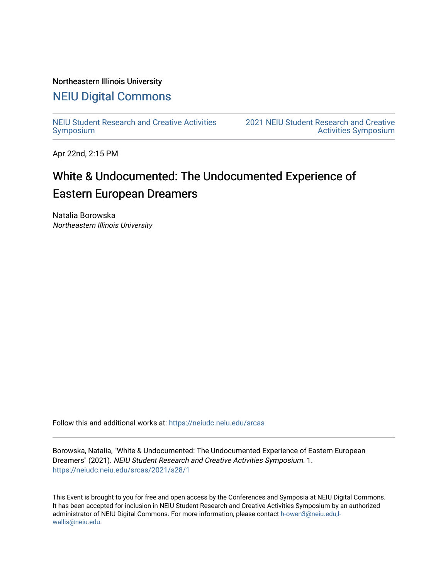#### Northeastern Illinois University

## [NEIU Digital Commons](https://neiudc.neiu.edu/)

[NEIU Student Research and Creative Activities](https://neiudc.neiu.edu/srcas) [Symposium](https://neiudc.neiu.edu/srcas) 

[2021 NEIU Student Research and Creative](https://neiudc.neiu.edu/srcas/2021)  [Activities Symposium](https://neiudc.neiu.edu/srcas/2021) 

Apr 22nd, 2:15 PM

# White & Undocumented: The Undocumented Experience of Eastern European Dreamers

Natalia Borowska Northeastern Illinois University

Follow this and additional works at: [https://neiudc.neiu.edu/srcas](https://neiudc.neiu.edu/srcas?utm_source=neiudc.neiu.edu%2Fsrcas%2F2021%2Fs28%2F1&utm_medium=PDF&utm_campaign=PDFCoverPages) 

Borowska, Natalia, "White & Undocumented: The Undocumented Experience of Eastern European Dreamers" (2021). NEIU Student Research and Creative Activities Symposium. 1. [https://neiudc.neiu.edu/srcas/2021/s28/1](https://neiudc.neiu.edu/srcas/2021/s28/1?utm_source=neiudc.neiu.edu%2Fsrcas%2F2021%2Fs28%2F1&utm_medium=PDF&utm_campaign=PDFCoverPages) 

This Event is brought to you for free and open access by the Conferences and Symposia at NEIU Digital Commons. It has been accepted for inclusion in NEIU Student Research and Creative Activities Symposium by an authorized administrator of NEIU Digital Commons. For more information, please contact [h-owen3@neiu.edu,l](mailto:h-owen3@neiu.edu,l-wallis@neiu.edu)[wallis@neiu.edu.](mailto:h-owen3@neiu.edu,l-wallis@neiu.edu)